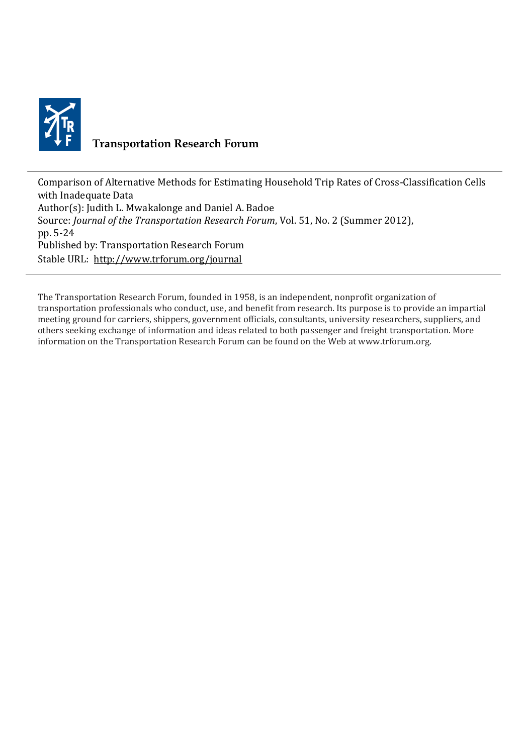

## **Transportation Research Forum**

Comparison of Alternative Methods for Estimating Household Trip Rates of Cross-Classification Cells with Inadequate Data Author(s): Judith L. Mwakalonge and Daniel A. Badoe Source: *Journal of the Transportation Research Forum*, Vol. 51, No. 2 (Summer 2012), pp. 5-24 Published by: Transportation Research Forum Stable URL:<http://www.trforum.org/journal>

The Transportation Research Forum, founded in 1958, is an independent, nonprofit organization of transportation professionals who conduct, use, and benefit from research. Its purpose is to provide an impartial meeting ground for carriers, shippers, government officials, consultants, university researchers, suppliers, and others seeking exchange of information and ideas related to both passenger and freight transportation. More information on the Transportation Research Forum can be found on the Web at www.trforum.org.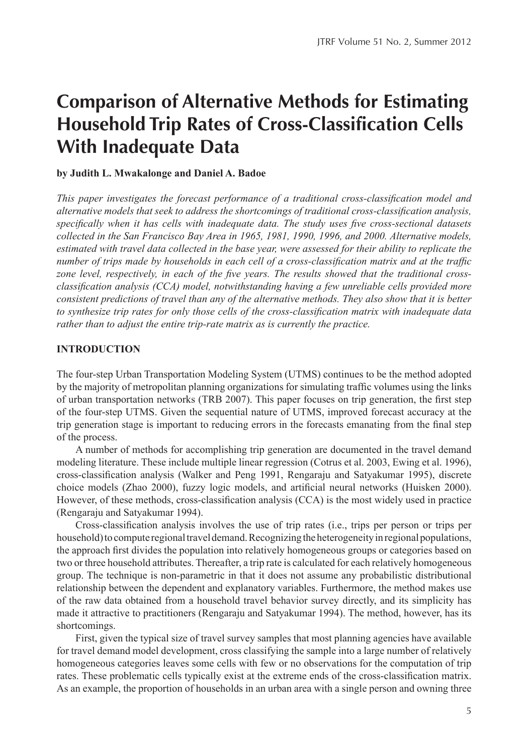# **Comparison of Alternative Methods for Estimating Household Trip Rates of Cross-Classification Cells With Inadequate Data**

#### **by Judith L. Mwakalonge and Daniel A. Badoe**

*This paper investigates the forecast performance of a traditional cross-classification model and alternative models that seek to address the shortcomings of traditional cross-classification analysis, specifically when it has cells with inadequate data. The study uses five cross-sectional datasets collected in the San Francisco Bay Area in 1965, 1981, 1990, 1996, and 2000. Alternative models, estimated with travel data collected in the base year, were assessed for their ability to replicate the number of trips made by households in each cell of a cross-classification matrix and at the traffic zone level, respectively, in each of the five years. The results showed that the traditional crossclassification analysis (CCA) model, notwithstanding having a few unreliable cells provided more consistent predictions of travel than any of the alternative methods. They also show that it is better to synthesize trip rates for only those cells of the cross-classification matrix with inadequate data rather than to adjust the entire trip-rate matrix as is currently the practice.*

#### **INTRODUCTION**

The four-step Urban Transportation Modeling System (UTMS) continues to be the method adopted by the majority of metropolitan planning organizations for simulating traffic volumes using the links of urban transportation networks (TRB 2007). This paper focuses on trip generation, the first step of the four-step UTMS. Given the sequential nature of UTMS, improved forecast accuracy at the trip generation stage is important to reducing errors in the forecasts emanating from the final step of the process.

A number of methods for accomplishing trip generation are documented in the travel demand modeling literature. These include multiple linear regression (Cotrus et al. 2003, Ewing et al. 1996), cross-classification analysis (Walker and Peng 1991, Rengaraju and Satyakumar 1995), discrete choice models (Zhao 2000), fuzzy logic models, and artificial neural networks (Huisken 2000). However, of these methods, cross-classification analysis (CCA) is the most widely used in practice (Rengaraju and Satyakumar 1994).

Cross-classification analysis involves the use of trip rates (i.e., trips per person or trips per household) to compute regional travel demand. Recognizing the heterogeneity in regional populations, the approach first divides the population into relatively homogeneous groups or categories based on two or three household attributes. Thereafter, a trip rate is calculated for each relatively homogeneous group. The technique is non-parametric in that it does not assume any probabilistic distributional relationship between the dependent and explanatory variables. Furthermore, the method makes use of the raw data obtained from a household travel behavior survey directly, and its simplicity has made it attractive to practitioners (Rengaraju and Satyakumar 1994). The method, however, has its shortcomings.

First, given the typical size of travel survey samples that most planning agencies have available for travel demand model development, cross classifying the sample into a large number of relatively homogeneous categories leaves some cells with few or no observations for the computation of trip rates. These problematic cells typically exist at the extreme ends of the cross-classification matrix. As an example, the proportion of households in an urban area with a single person and owning three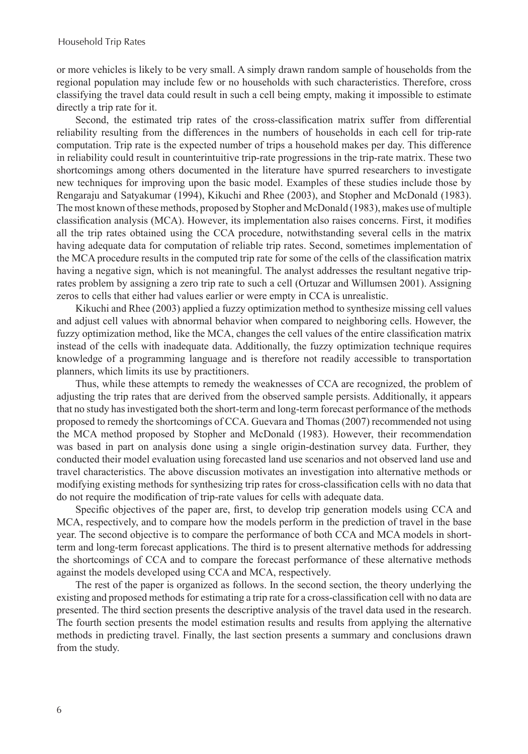or more vehicles is likely to be very small. A simply drawn random sample of households from the regional population may include few or no households with such characteristics. Therefore, cross classifying the travel data could result in such a cell being empty, making it impossible to estimate directly a trip rate for it.

Second, the estimated trip rates of the cross-classification matrix suffer from differential reliability resulting from the differences in the numbers of households in each cell for trip-rate computation. Trip rate is the expected number of trips a household makes per day. This difference in reliability could result in counterintuitive trip-rate progressions in the trip-rate matrix. These two shortcomings among others documented in the literature have spurred researchers to investigate new techniques for improving upon the basic model. Examples of these studies include those by Rengaraju and Satyakumar (1994), Kikuchi and Rhee (2003), and Stopher and McDonald (1983). The most known of these methods, proposed by Stopher and McDonald (1983), makes use of multiple classification analysis (MCA). However, its implementation also raises concerns. First, it modifies all the trip rates obtained using the CCA procedure, notwithstanding several cells in the matrix having adequate data for computation of reliable trip rates. Second, sometimes implementation of the MCA procedure results in the computed trip rate for some of the cells of the classification matrix having a negative sign, which is not meaningful. The analyst addresses the resultant negative triprates problem by assigning a zero trip rate to such a cell (Ortuzar and Willumsen 2001). Assigning zeros to cells that either had values earlier or were empty in CCA is unrealistic.

Kikuchi and Rhee (2003) applied a fuzzy optimization method to synthesize missing cell values and adjust cell values with abnormal behavior when compared to neighboring cells. However, the fuzzy optimization method, like the MCA, changes the cell values of the entire classification matrix instead of the cells with inadequate data. Additionally, the fuzzy optimization technique requires knowledge of a programming language and is therefore not readily accessible to transportation planners, which limits its use by practitioners.

Thus, while these attempts to remedy the weaknesses of CCA are recognized, the problem of adjusting the trip rates that are derived from the observed sample persists. Additionally, it appears that no study has investigated both the short-term and long-term forecast performance of the methods proposed to remedy the shortcomings of CCA. Guevara and Thomas (2007) recommended not using the MCA method proposed by Stopher and McDonald (1983). However, their recommendation was based in part on analysis done using a single origin-destination survey data. Further, they conducted their model evaluation using forecasted land use scenarios and not observed land use and travel characteristics. The above discussion motivates an investigation into alternative methods or modifying existing methods for synthesizing trip rates for cross-classification cells with no data that do not require the modification of trip-rate values for cells with adequate data.

Specific objectives of the paper are, first, to develop trip generation models using CCA and MCA, respectively, and to compare how the models perform in the prediction of travel in the base year. The second objective is to compare the performance of both CCA and MCA models in shortterm and long-term forecast applications. The third is to present alternative methods for addressing the shortcomings of CCA and to compare the forecast performance of these alternative methods against the models developed using CCA and MCA, respectively.

The rest of the paper is organized as follows. In the second section, the theory underlying the existing and proposed methods for estimating a trip rate for a cross-classification cell with no data are presented. The third section presents the descriptive analysis of the travel data used in the research. The fourth section presents the model estimation results and results from applying the alternative methods in predicting travel. Finally, the last section presents a summary and conclusions drawn from the study.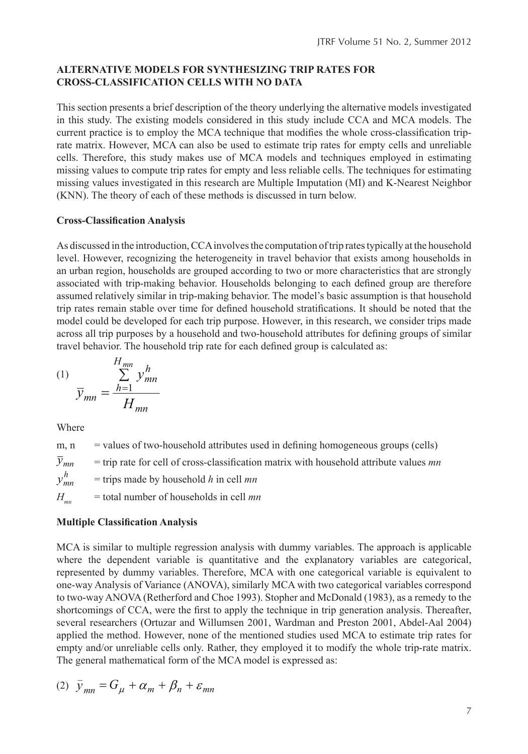## **ALTERNATIVE MODELS FOR SYNTHESIZING TRIP RATES FOR CROSS-CLASSIFICATION CELLS WITH NO DATA**

This section presents a brief description of the theory underlying the alternative models investigated in this study. The existing models considered in this study include CCA and MCA models. The current practice is to employ the MCA technique that modifies the whole cross-classification triprate matrix. However, MCA can also be used to estimate trip rates for empty cells and unreliable cells. Therefore, this study makes use of MCA models and techniques employed in estimating missing values to compute trip rates for empty and less reliable cells. The techniques for estimating missing values investigated in this research are Multiple Imputation (MI) and K-Nearest Neighbor (KNN). The theory of each of these methods is discussed in turn below.

#### **Cross-Classification Analysis**

As discussed in the introduction, CCA involves the computation of trip rates typically at the household level. However, recognizing the heterogeneity in travel behavior that exists among households in an urban region, households are grouped according to two or more characteristics that are strongly associated with trip-making behavior. Households belonging to each defined group are therefore assumed relatively similar in trip-making behavior. The model's basic assumption is that household trip rates remain stable over time for defined household stratifications. It should be noted that the model could be developed for each trip purpose. However, in this research, we consider trips made across all trip purposes by a household and two-household attributes for defining groups of similar travel behavior. The household trip rate for each defined group is calculated as:

$$
(1) \qquad \frac{H_{mn}}{\overline{y}_{mn}} = \frac{h=1}{H_{mn}} y_{mn}^h
$$

Where

 $m, n$  = values of two-household attributes used in defining homogeneous groups (cells) = trip rate for cell of cross-classification matrix with household attribute values *mn* = trips made by household *h* in cell *mn*  $H_{mn}$  = total number of households in cell *mn h mn y*  $\overline{y}_{mn}$ 

## **Multiple Classification Analysis**

MCA is similar to multiple regression analysis with dummy variables. The approach is applicable where the dependent variable is quantitative and the explanatory variables are categorical, represented by dummy variables. Therefore, MCA with one categorical variable is equivalent to one-way Analysis of Variance (ANOVA), similarly MCA with two categorical variables correspond to two-way ANOVA (Retherford and Choe 1993). Stopher and McDonald (1983), as a remedy to the shortcomings of CCA, were the first to apply the technique in trip generation analysis. Thereafter, several researchers (Ortuzar and Willumsen 2001, Wardman and Preston 2001, Abdel-Aal 2004) applied the method. However, none of the mentioned studies used MCA to estimate trip rates for empty and/or unreliable cells only. Rather, they employed it to modify the whole trip-rate matrix. The general mathematical form of the MCA model is expressed as:

$$
(2) \ \bar{y}_{mn} = G_{\mu} + \alpha_m + \beta_n + \varepsilon_{mn}
$$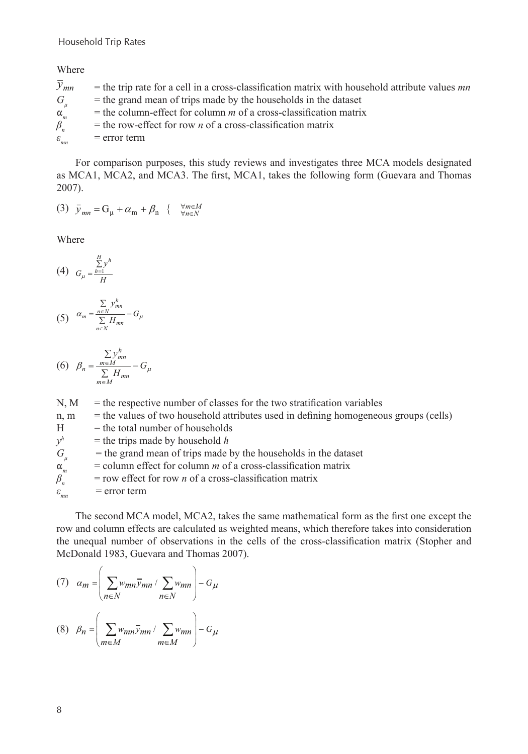Where

| $y_{mn}$           | $=$ the trip rate for a cell in a cross-classification matrix with household attribute values <i>mn</i> |
|--------------------|---------------------------------------------------------------------------------------------------------|
| G                  | $=$ the grand mean of trips made by the households in the dataset                                       |
| $\alpha_{m}$       | $=$ the column-effect for column <i>m</i> of a cross-classification matrix                              |
| $\beta_n$          | $=$ the row-effect for row <i>n</i> of a cross-classification matrix                                    |
| $\varepsilon_{mn}$ | $=$ error term                                                                                          |

For comparison purposes, this study reviews and investigates three MCA models designated as MCA1, MCA2, and MCA3. The first, MCA1, takes the following form (Guevara and Thomas 2007).

$$
(3) \quad \bar{y}_{mn} = G_{\mu} + \alpha_{m} + \beta_{n} \quad \{ \quad \forall m \in M \atop \forall n \in N}
$$

Where

(4) 
$$
G_{\mu} = \frac{\sum_{h=1}^{H} y^h}{H}
$$

$$
(5) \quad \alpha_m = \frac{\sum\limits_{n \in N} y_{mn}^h}{\sum\limits_{n \in N} H_{mn}} - G_{\mu}
$$

$$
(6) \quad \beta_n = \frac{\sum_{m \in M} y_m^h}{\sum_{m \in M} H_{mn}} - G_\mu
$$

 $N, M$  = the respective number of classes for the two stratification variables  $n, m$  = the values of two household attributes used in defining homogeneous groups (cells)  $H =$  the total number of households  $y<sup>h</sup>$  = the trips made by household *h*  $G_{\mu}$  = the grand mean of trips made by the households in the dataset = column effect for column *m* of a cross-classification matrix  $\alpha_m^r$  = column effect for column *m* of a cross-classification matrix<br> $\beta_n^r$  = row effect for row *n* of a cross-classification matrix *βn*  = row effect for row *n* of a cross-classification matrix  $\varepsilon_{mn}$  = error term

The second MCA model, MCA2, takes the same mathematical form as the first one except the row and column effects are calculated as weighted means, which therefore takes into consideration the unequal number of observations in the cells of the cross-classification matrix (Stopher and McDonald 1983, Guevara and Thomas 2007).

(7) 
$$
\alpha_m = \left(\sum_{n \in N} w_{mn} \overline{y}_{mn} / \sum_{n \in N} w_{mn}\right) - G_{\mu}
$$
  
(8) 
$$
\beta_n = \left(\sum_{m \in M} w_{mn} \overline{y}_{mn} / \sum_{m \in M} w_{mn}\right) - G_{\mu}
$$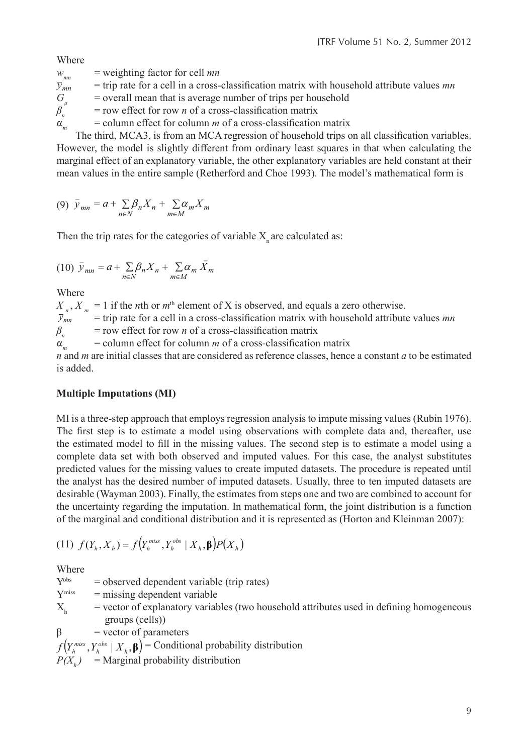Where

 $w_{mn}$  = weighting factor for cell *mn*<br> $\bar{y}_{mn}$  = trip rate for a cell in a cross*mn y* = trip rate for a cell in a cross-classification matrix with household attribute values *mn*  $G_{\mu}$  = overall mean that is average number of trips per household<br> $\beta_{n}$  = row effect for row *n* of a cross-classification matrix  $\beta_n$  = row effect for row *n* of a cross-classification matrix  $\alpha$  = column effect for column *m* of a cross-classification  $=$  column effect for column  $m$  of a cross-classification matrix

The third, MCA3, is from an MCA regression of household trips on all classification variables. However, the model is slightly different from ordinary least squares in that when calculating the marginal effect of an explanatory variable, the other explanatory variables are held constant at their mean values in the entire sample (Retherford and Choe 1993). The model's mathematical form is

$$
(9) \ \bar{y}_{mn} = a + \sum_{n \in N} \beta_n X_n + \sum_{m \in M} \alpha_m X_m
$$

Then the trip rates for the categories of variable  $X_n$  are calculated as:

$$
(10)\ \bar{y}_{mn} = a + \sum_{n \in N} \beta_n X_n + \sum_{m \in M} \alpha_m \bar{X}_m
$$

Where

 $X_n$ ,  $X_m = 1$  if the *n*th or  $m^{\text{th}}$  element of X is observed, and equals a zero otherwise.<br> $\bar{y}_{mn}$  = trip rate for a cell in a cross-classification matrix with household attribut *mn y* = trip rate for a cell in a cross-classification matrix with household attribute values *mn*  $\beta_n$  = row effect for row *n* of a cross-classification matrix  $\alpha_m$  = column effect for column *m* of a cross-classification matrix

*n* and *m* are initial classes that are considered as reference classes, hence a constant *a* to be estimated is added.

## **Multiple Imputations (MI)**

MI is a three-step approach that employs regression analysis to impute missing values (Rubin 1976). The first step is to estimate a model using observations with complete data and, thereafter, use the estimated model to fill in the missing values. The second step is to estimate a model using a complete data set with both observed and imputed values. For this case, the analyst substitutes predicted values for the missing values to create imputed datasets. The procedure is repeated until the analyst has the desired number of imputed datasets. Usually, three to ten imputed datasets are desirable (Wayman 2003). Finally, the estimates from steps one and two are combined to account for the uncertainty regarding the imputation. In mathematical form, the joint distribution is a function of the marginal and conditional distribution and it is represented as (Horton and Kleinman 2007):

(11) 
$$
f(Y_h, X_h) = f(Y_h^{\text{miss}}, Y_h^{\text{obs}} | X_h, \beta) P(X_h)
$$

Where

 $Y<sup>obs</sup>$  = observed dependent variable (trip rates)  $Y<sup>miss</sup>$  = missing dependent variable  $X<sub>h</sub>$  = vector of explanatory variables (two household attributes used in defining homogeneous groups (cells))  $\beta$  = vector of parameters

 $f(Y_h^{\text{miss}}, Y_h^{\text{obs}} | X_h, \beta)$  = Conditional probability distribution

 $P(X_h)$  = Marginal probability distribution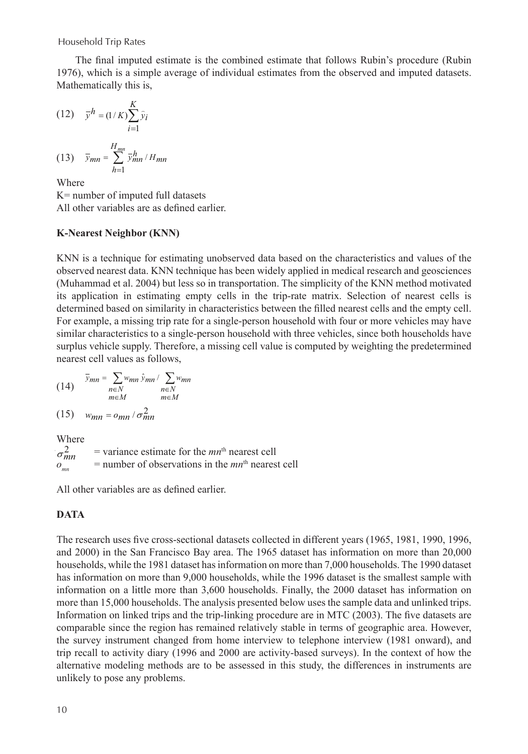Household Trip Rates

The final imputed estimate is the combined estimate that follows Rubin's procedure (Rubin 1976), which is a simple average of individual estimates from the observed and imputed datasets. Mathematically this is,

$$
(12)\quad \overline{y}^h = (1/K)\sum_{i=1}^K \hat{y}_i
$$

$$
(13) \quad \overline{y}_{mn} = \sum_{h=1}^{H_{mn}} \overline{y}_{mn}^h / H_{mn}
$$

Where

K= number of imputed full datasets All other variables are as defined earlier.

## **K-Nearest Neighbor (KNN)**

KNN is a technique for estimating unobserved data based on the characteristics and values of the observed nearest data. KNN technique has been widely applied in medical research and geosciences (Muhammad et al. 2004) but less so in transportation. The simplicity of the KNN method motivated its application in estimating empty cells in the trip-rate matrix. Selection of nearest cells is determined based on similarity in characteristics between the filled nearest cells and the empty cell. For example, a missing trip rate for a single-person household with four or more vehicles may have similar characteristics to a single-person household with three vehicles, since both households have surplus vehicle supply. Therefore, a missing cell value is computed by weighting the predetermined nearest cell values as follows,

(14) 
$$
\bar{y}_{mn} = \sum_{\substack{n \in N \\ m \in M}} w_{mn} \hat{y}_{mn} / \sum_{\substack{n \in N \\ m \in M}} w_{mn}
$$

$$
(15) \t w_{mn} = o_{mn} / \sigma_{mn}^2
$$

Where  $=$  variance estimate for the  $mn<sup>th</sup>$  nearest cell  $o_{mn}$  = number of observations in the  $mn<sup>th</sup>$  nearest cell  $\sigma_{mn}^2$ 

All other variables are as defined earlier.

## **Data**

The research uses five cross-sectional datasets collected in different years (1965, 1981, 1990, 1996, and 2000) in the San Francisco Bay area. The 1965 dataset has information on more than 20,000 households, while the 1981 dataset has information on more than 7,000 households. The 1990 dataset has information on more than 9,000 households, while the 1996 dataset is the smallest sample with information on a little more than 3,600 households. Finally, the 2000 dataset has information on more than 15,000 households. The analysis presented below uses the sample data and unlinked trips. Information on linked trips and the trip-linking procedure are in MTC (2003). The five datasets are comparable since the region has remained relatively stable in terms of geographic area. However, the survey instrument changed from home interview to telephone interview (1981 onward), and trip recall to activity diary (1996 and 2000 are activity-based surveys). In the context of how the alternative modeling methods are to be assessed in this study, the differences in instruments are unlikely to pose any problems.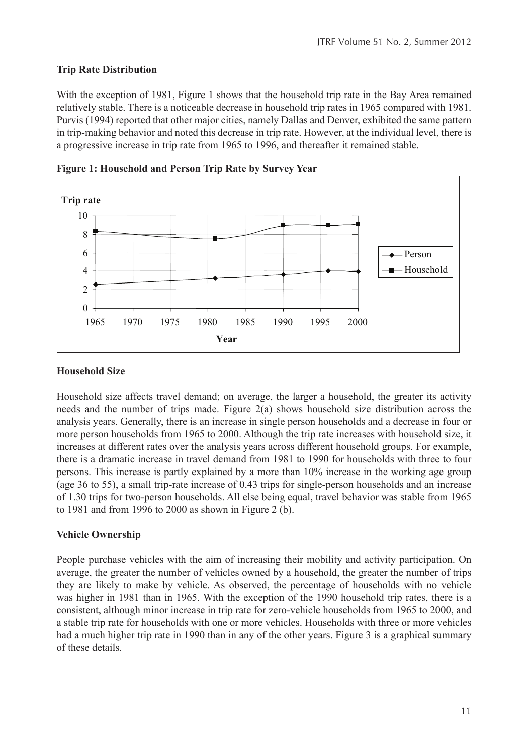## **Trip Rate Distribution**

With the exception of 1981, Figure 1 shows that the household trip rate in the Bay Area remained relatively stable. There is a noticeable decrease in household trip rates in 1965 compared with 1981. Purvis (1994) reported that other major cities, namely Dallas and Denver, exhibited the same pattern in trip-making behavior and noted this decrease in trip rate. However, at the individual level, there is a progressive increase in trip rate from 1965 to 1996, and thereafter it remained stable.



**Figure 1: Household and Person Trip Rate by Survey Year**

## **Household Size**

Household size affects travel demand; on average, the larger a household, the greater its activity needs and the number of trips made. Figure 2(a) shows household size distribution across the analysis years. Generally, there is an increase in single person households and a decrease in four or more person households from 1965 to 2000. Although the trip rate increases with household size, it increases at different rates over the analysis years across different household groups. For example, there is a dramatic increase in travel demand from 1981 to 1990 for households with three to four persons. This increase is partly explained by a more than 10% increase in the working age group (age 36 to 55), a small trip-rate increase of 0.43 trips for single-person households and an increase of 1.30 trips for two-person households. All else being equal, travel behavior was stable from 1965 to 1981 and from 1996 to 2000 as shown in Figure 2 (b).

## **Vehicle Ownership**

People purchase vehicles with the aim of increasing their mobility and activity participation. On average, the greater the number of vehicles owned by a household, the greater the number of trips they are likely to make by vehicle. As observed, the percentage of households with no vehicle was higher in 1981 than in 1965. With the exception of the 1990 household trip rates, there is a consistent, although minor increase in trip rate for zero-vehicle households from 1965 to 2000, and a stable trip rate for households with one or more vehicles. Households with three or more vehicles had a much higher trip rate in 1990 than in any of the other years. Figure 3 is a graphical summary of these details.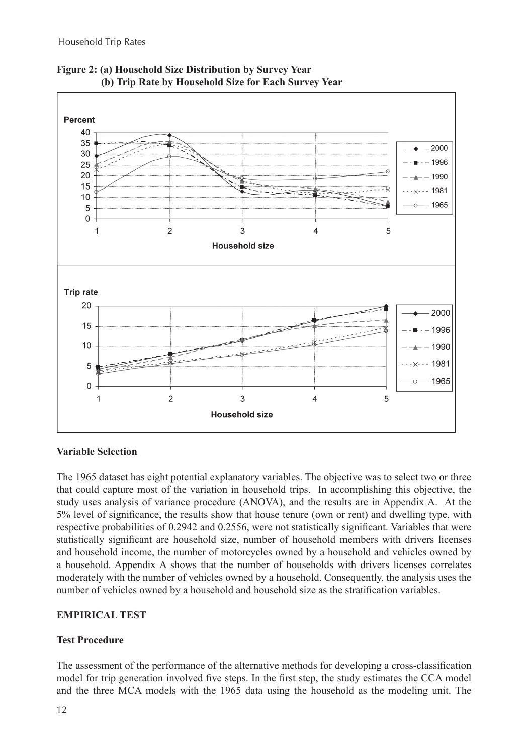

**Figure 2: (a) Household Size Distribution by Survey Year (b) Trip Rate by Household Size for Each Survey Year**

#### **Variable Selection**

The 1965 dataset has eight potential explanatory variables. The objective was to select two or three that could capture most of the variation in household trips. In accomplishing this objective, the study uses analysis of variance procedure (ANOVA), and the results are in Appendix A. At the 5% level of significance, the results show that house tenure (own or rent) and dwelling type, with respective probabilities of 0.2942 and 0.2556, were not statistically significant. Variables that were statistically significant are household size, number of household members with drivers licenses and household income, the number of motorcycles owned by a household and vehicles owned by a household. Appendix A shows that the number of households with drivers licenses correlates moderately with the number of vehicles owned by a household. Consequently, the analysis uses the number of vehicles owned by a household and household size as the stratification variables.

## **EMPIRICAL TEST**

## **Test Procedure**

The assessment of the performance of the alternative methods for developing a cross-classification model for trip generation involved five steps. In the first step, the study estimates the CCA model and the three MCA models with the 1965 data using the household as the modeling unit. The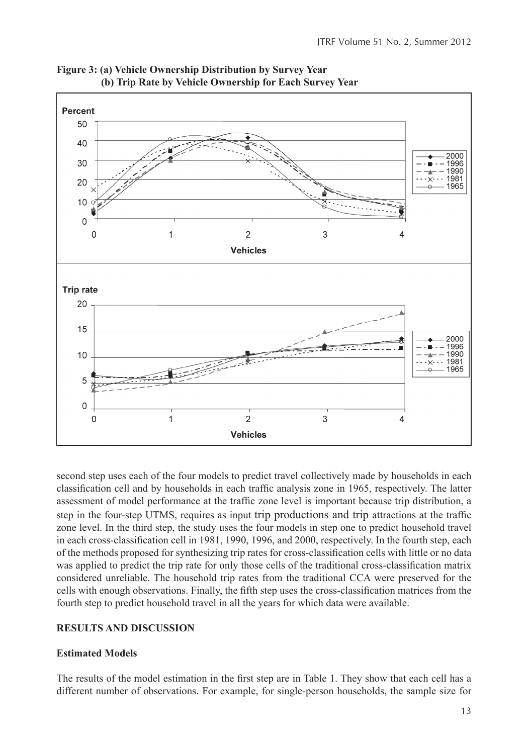

**Figure 3: (a) Vehicle Ownership Distribution by Survey Year (b) Trip Rate by Vehicle Ownership for Each Survey Year**

second step uses each of the four models to predict travel collectively made by households in each classification cell and by households in each traffic analysis zone in 1965, respectively. The latter assessment of model performance at the traffic zone level is important because trip distribution, a step in the four-step UTMS, requires as input trip productions and trip attractions at the traffic zone level. In the third step, the study uses the four models in step one to predict household travel in each cross-classification cell in 1981, 1990, 1996, and 2000, respectively. In the fourth step, each of the methods proposed for synthesizing trip rates for cross-classification cells with little or no data was applied to predict the trip rate for only those cells of the traditional cross-classification matrix considered unreliable. The household trip rates from the traditional CCA were preserved for the cells with enough observations. Finally, the fifth step uses the cross-classification matrices from the fourth step to predict household travel in all the years for which data were available.

#### **RESULTS AND DISCUSSION**

#### **Estimated Models**

The results of the model estimation in the first step are in Table 1. They show that each cell has a different number of observations. For example, for single-person households, the sample size for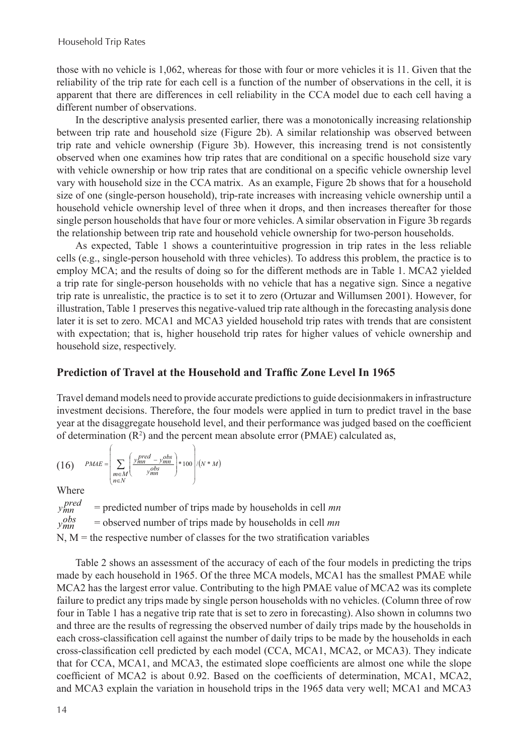those with no vehicle is 1,062, whereas for those with four or more vehicles it is 11. Given that the reliability of the trip rate for each cell is a function of the number of observations in the cell, it is apparent that there are differences in cell reliability in the CCA model due to each cell having a different number of observations.

In the descriptive analysis presented earlier, there was a monotonically increasing relationship between trip rate and household size (Figure 2b). A similar relationship was observed between trip rate and vehicle ownership (Figure 3b). However, this increasing trend is not consistently observed when one examines how trip rates that are conditional on a specific household size vary with vehicle ownership or how trip rates that are conditional on a specific vehicle ownership level vary with household size in the CCA matrix. As an example, Figure 2b shows that for a household size of one (single-person household), trip-rate increases with increasing vehicle ownership until a household vehicle ownership level of three when it drops, and then increases thereafter for those single person households that have four or more vehicles. A similar observation in Figure 3b regards the relationship between trip rate and household vehicle ownership for two-person households.

As expected, Table 1 shows a counterintuitive progression in trip rates in the less reliable cells (e.g., single-person household with three vehicles). To address this problem, the practice is to employ MCA; and the results of doing so for the different methods are in Table 1. MCA2 yielded a trip rate for single-person households with no vehicle that has a negative sign. Since a negative trip rate is unrealistic, the practice is to set it to zero (Ortuzar and Willumsen 2001). However, for illustration, Table 1 preserves this negative-valued trip rate although in the forecasting analysis done later it is set to zero. MCA1 and MCA3 yielded household trip rates with trends that are consistent with expectation; that is, higher household trip rates for higher values of vehicle ownership and household size, respectively.

#### **Prediction of Travel at the Household and Traffic Zone Level In 1965**

Travel demand models need to provide accurate predictions to guide decisionmakers in infrastructure investment decisions. Therefore, the four models were applied in turn to predict travel in the base year at the disaggregate household level, and their performance was judged based on the coefficient of determination  $(R^2)$  and the percent mean absolute error (PMAE) calculated as,

$$
(16) \qquad PMAE = \left(\sum_{\substack{m \in M \\ n \in N}} \left(\frac{y_{mn}^{pred} - y_{mn}^{obs}}{y_{mn}^{obs}}\right) * 100\right) / (N*M)
$$

Where

= predicted number of trips made by households in cell *mn* = observed number of trips made by households in cell *mn*  $N$ ,  $M$  = the respective number of classes for the two stratification variables *pred mn <sup>y</sup> obs ymn*

Table 2 shows an assessment of the accuracy of each of the four models in predicting the trips made by each household in 1965. Of the three MCA models, MCA1 has the smallest PMAE while MCA2 has the largest error value. Contributing to the high PMAE value of MCA2 was its complete failure to predict any trips made by single person households with no vehicles. (Column three of row four in Table 1 has a negative trip rate that is set to zero in forecasting). Also shown in columns two and three are the results of regressing the observed number of daily trips made by the households in each cross-classification cell against the number of daily trips to be made by the households in each cross-classification cell predicted by each model (CCA, MCA1, MCA2, or MCA3). They indicate that for CCA, MCA1, and MCA3, the estimated slope coefficients are almost one while the slope coefficient of MCA2 is about 0.92. Based on the coefficients of determination, MCA1, MCA2, and MCA3 explain the variation in household trips in the 1965 data very well; MCA1 and MCA3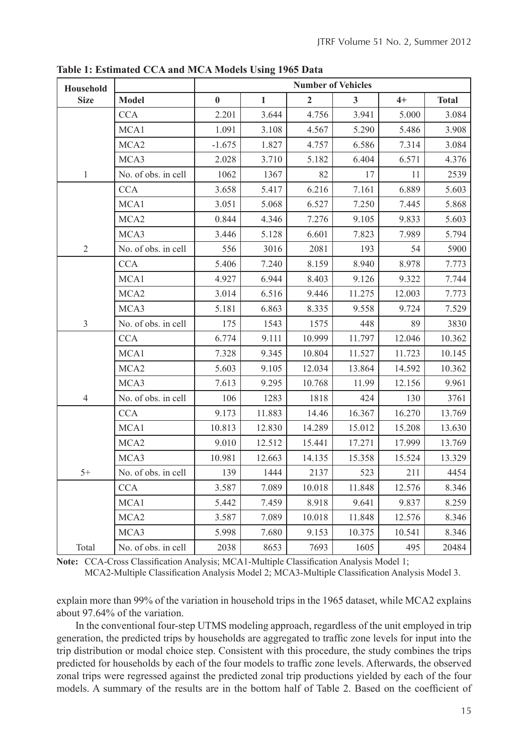| Household      |                     | <b>Number of Vehicles</b> |              |                |        |        |              |  |  |  |
|----------------|---------------------|---------------------------|--------------|----------------|--------|--------|--------------|--|--|--|
| <b>Size</b>    | <b>Model</b>        | $\bf{0}$                  | $\mathbf{1}$ | $\overline{2}$ | 3      | $4+$   | <b>Total</b> |  |  |  |
|                | <b>CCA</b>          | 2.201                     | 3.644        | 4.756          | 3.941  | 5.000  | 3.084        |  |  |  |
|                | MCA1                | 1.091                     | 3.108        | 4.567          | 5.290  | 5.486  | 3.908        |  |  |  |
|                | MCA <sub>2</sub>    | $-1.675$                  | 1.827        | 4.757          | 6.586  | 7.314  | 3.084        |  |  |  |
|                | MCA3                | 2.028                     | 3.710        | 5.182          | 6.404  | 6.571  | 4.376        |  |  |  |
| $\mathbf{1}$   | No. of obs. in cell | 1062                      | 1367         | 82             | 17     | 11     | 2539         |  |  |  |
|                | <b>CCA</b>          | 3.658                     | 5.417        | 6.216          | 7.161  | 6.889  | 5.603        |  |  |  |
|                | MCA1                | 3.051                     | 5.068        | 6.527          | 7.250  | 7.445  | 5.868        |  |  |  |
|                | MCA <sub>2</sub>    | 0.844                     | 4.346        | 7.276          | 9.105  | 9.833  | 5.603        |  |  |  |
|                | MCA3                | 3.446                     | 5.128        | 6.601          | 7.823  | 7.989  | 5.794        |  |  |  |
| $\overline{2}$ | No. of obs. in cell | 556                       | 3016         | 2081           | 193    | 54     | 5900         |  |  |  |
|                | <b>CCA</b>          | 5.406                     | 7.240        | 8.159          | 8.940  | 8.978  | 7.773        |  |  |  |
|                | MCA1                | 4.927                     | 6.944        | 8.403          | 9.126  | 9.322  | 7.744        |  |  |  |
|                | MCA <sub>2</sub>    | 3.014                     | 6.516        | 9.446          | 11.275 | 12.003 | 7.773        |  |  |  |
|                | MCA3                | 5.181                     | 6.863        | 8.335          | 9.558  | 9.724  | 7.529        |  |  |  |
| $\overline{3}$ | No. of obs. in cell | 175                       | 1543         | 1575           | 448    | 89     | 3830         |  |  |  |
|                | <b>CCA</b>          | 6.774                     | 9.111        | 10.999         | 11.797 | 12.046 | 10.362       |  |  |  |
|                | MCA1                | 7.328                     | 9.345        | 10.804         | 11.527 | 11.723 | 10.145       |  |  |  |
|                | MCA <sub>2</sub>    | 5.603                     | 9.105        | 12.034         | 13.864 | 14.592 | 10.362       |  |  |  |
|                | MCA3                | 7.613                     | 9.295        | 10.768         | 11.99  | 12.156 | 9.961        |  |  |  |
| $\overline{4}$ | No. of obs. in cell | 106                       | 1283         | 1818           | 424    | 130    | 3761         |  |  |  |
|                | <b>CCA</b>          | 9.173                     | 11.883       | 14.46          | 16.367 | 16.270 | 13.769       |  |  |  |
|                | MCA1                | 10.813                    | 12.830       | 14.289         | 15.012 | 15.208 | 13.630       |  |  |  |
|                | MCA <sub>2</sub>    | 9.010                     | 12.512       | 15.441         | 17.271 | 17.999 | 13.769       |  |  |  |
|                | MCA3                | 10.981                    | 12.663       | 14.135         | 15.358 | 15.524 | 13.329       |  |  |  |
| $5+$           | No. of obs. in cell | 139                       | 1444         | 2137           | 523    | 211    | 4454         |  |  |  |
|                | <b>CCA</b>          | 3.587                     | 7.089        | 10.018         | 11.848 | 12.576 | 8.346        |  |  |  |
|                | MCA1                | 5.442                     | 7.459        | 8.918          | 9.641  | 9.837  | 8.259        |  |  |  |
|                | MCA <sub>2</sub>    | 3.587                     | 7.089        | 10.018         | 11.848 | 12.576 | 8.346        |  |  |  |
|                | MCA3                | 5.998                     | 7.680        | 9.153          | 10.375 | 10.541 | 8.346        |  |  |  |
| Total          | No. of obs. in cell | 2038                      | 8653         | 7693           | 1605   | 495    | 20484        |  |  |  |

**Table 1: Estimated CCA and MCA Models Using 1965 Data**

**Note:** CCA-Cross Classification Analysis; MCA1-Multiple Classification Analysis Model 1;

MCA2-Multiple Classification Analysis Model 2; MCA3-Multiple Classification Analysis Model 3.

explain more than 99% of the variation in household trips in the 1965 dataset, while MCA2 explains about 97.64% of the variation.

In the conventional four-step UTMS modeling approach, regardless of the unit employed in trip generation, the predicted trips by households are aggregated to traffic zone levels for input into the trip distribution or modal choice step. Consistent with this procedure, the study combines the trips predicted for households by each of the four models to traffic zone levels. Afterwards, the observed zonal trips were regressed against the predicted zonal trip productions yielded by each of the four models. A summary of the results are in the bottom half of Table 2. Based on the coefficient of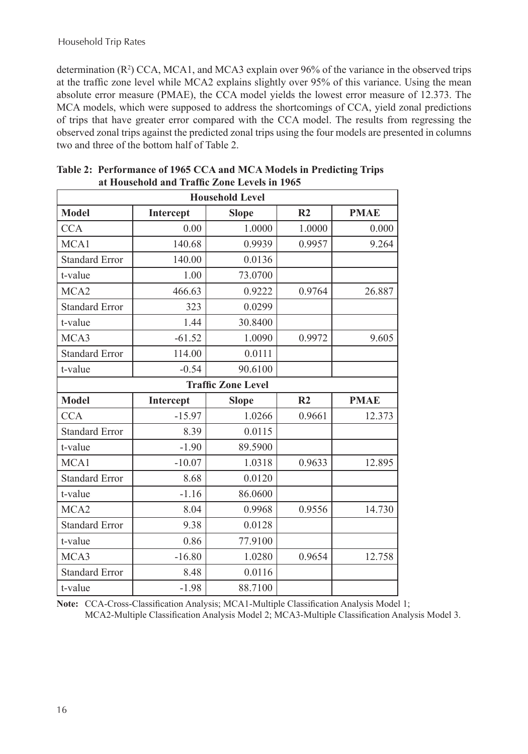determination  $(R^2)$  CCA, MCA1, and MCA3 explain over 96% of the variance in the observed trips at the traffic zone level while MCA2 explains slightly over 95% of this variance. Using the mean absolute error measure (PMAE), the CCA model yields the lowest error measure of 12.373. The MCA models, which were supposed to address the shortcomings of CCA, yield zonal predictions of trips that have greater error compared with the CCA model. The results from regressing the observed zonal trips against the predicted zonal trips using the four models are presented in columns two and three of the bottom half of Table 2.

| <b>Household Level</b> |           |                           |                |             |  |  |  |  |  |
|------------------------|-----------|---------------------------|----------------|-------------|--|--|--|--|--|
| <b>Model</b>           | Intercept | <b>Slope</b>              | R <sub>2</sub> | <b>PMAE</b> |  |  |  |  |  |
| <b>CCA</b>             | 0.00      | 1.0000                    | 1.0000         | 0.000       |  |  |  |  |  |
| MCA1                   | 140.68    | 0.9939                    | 0.9957         | 9.264       |  |  |  |  |  |
| <b>Standard Error</b>  | 140.00    | 0.0136                    |                |             |  |  |  |  |  |
| t-value                | 1.00      | 73.0700                   |                |             |  |  |  |  |  |
| MCA <sub>2</sub>       | 466.63    | 0.9222                    | 0.9764         | 26.887      |  |  |  |  |  |
| <b>Standard Error</b>  | 323       | 0.0299                    |                |             |  |  |  |  |  |
| t-value                | 1.44      | 30.8400                   |                |             |  |  |  |  |  |
| MCA3                   | $-61.52$  | 1.0090                    | 0.9972         | 9.605       |  |  |  |  |  |
| <b>Standard Error</b>  | 114.00    | 0.0111                    |                |             |  |  |  |  |  |
| t-value                | $-0.54$   | 90.6100                   |                |             |  |  |  |  |  |
|                        |           | <b>Traffic Zone Level</b> |                |             |  |  |  |  |  |
| <b>Model</b>           | Intercept | <b>Slope</b>              | R <sub>2</sub> | <b>PMAE</b> |  |  |  |  |  |
| <b>CCA</b>             | $-15.97$  | 1.0266                    | 0.9661         | 12.373      |  |  |  |  |  |
|                        |           |                           |                |             |  |  |  |  |  |
| <b>Standard Error</b>  | 8.39      | 0.0115                    |                |             |  |  |  |  |  |
| t-value                | $-1.90$   | 89.5900                   |                |             |  |  |  |  |  |
| MCA1                   | $-10.07$  | 1.0318                    | 0.9633         | 12.895      |  |  |  |  |  |
| <b>Standard Error</b>  | 8.68      | 0.0120                    |                |             |  |  |  |  |  |
| t-value                | $-1.16$   | 86.0600                   |                |             |  |  |  |  |  |
| MCA <sub>2</sub>       | 8.04      | 0.9968                    | 0.9556         | 14.730      |  |  |  |  |  |
| <b>Standard Error</b>  | 9.38      | 0.0128                    |                |             |  |  |  |  |  |
| t-value                | 0.86      | 77.9100                   |                |             |  |  |  |  |  |
| MCA3                   | $-16.80$  | 1.0280                    | 0.9654         | 12.758      |  |  |  |  |  |
| <b>Standard Error</b>  | 8.48      | 0.0116                    |                |             |  |  |  |  |  |

| Table 2: Performance of 1965 CCA and MCA Models in Predicting Trips |  |
|---------------------------------------------------------------------|--|
| at Household and Traffic Zone Levels in 1965                        |  |

**Note:** CCA-Cross-Classification Analysis; MCA1-Multiple Classification Analysis Model 1; MCA2-Multiple Classification Analysis Model 2; MCA3-Multiple Classification Analysis Model 3.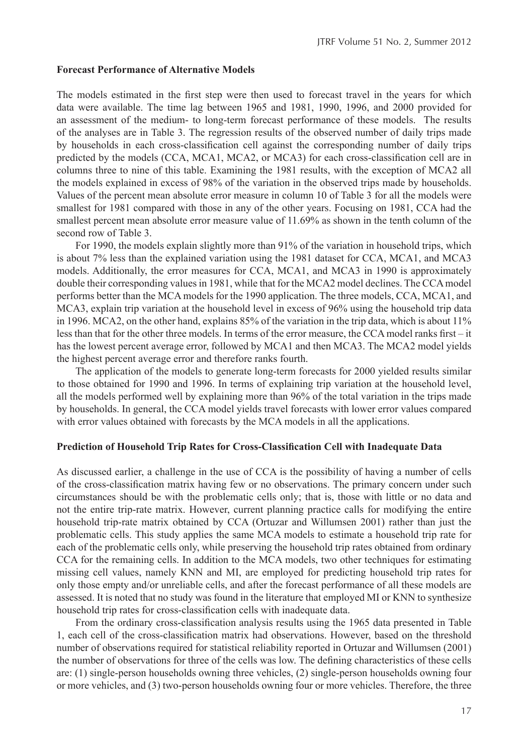#### **Forecast Performance of Alternative Models**

The models estimated in the first step were then used to forecast travel in the years for which data were available. The time lag between 1965 and 1981, 1990, 1996, and 2000 provided for an assessment of the medium- to long-term forecast performance of these models. The results of the analyses are in Table 3. The regression results of the observed number of daily trips made by households in each cross-classification cell against the corresponding number of daily trips predicted by the models (CCA, MCA1, MCA2, or MCA3) for each cross-classification cell are in columns three to nine of this table. Examining the 1981 results, with the exception of MCA2 all the models explained in excess of 98% of the variation in the observed trips made by households. Values of the percent mean absolute error measure in column 10 of Table 3 for all the models were smallest for 1981 compared with those in any of the other years. Focusing on 1981, CCA had the smallest percent mean absolute error measure value of 11.69% as shown in the tenth column of the second row of Table 3.

For 1990, the models explain slightly more than 91% of the variation in household trips, which is about 7% less than the explained variation using the 1981 dataset for CCA, MCA1, and MCA3 models. Additionally, the error measures for CCA, MCA1, and MCA3 in 1990 is approximately double their corresponding values in 1981, while that for the MCA2 model declines. The CCA model performs better than the MCA models for the 1990 application. The three models, CCA, MCA1, and MCA3, explain trip variation at the household level in excess of 96% using the household trip data in 1996. MCA2, on the other hand, explains 85% of the variation in the trip data, which is about 11% less than that for the other three models. In terms of the error measure, the CCA model ranks first – it has the lowest percent average error, followed by MCA1 and then MCA3. The MCA2 model yields the highest percent average error and therefore ranks fourth.

The application of the models to generate long-term forecasts for 2000 yielded results similar to those obtained for 1990 and 1996. In terms of explaining trip variation at the household level, all the models performed well by explaining more than 96% of the total variation in the trips made by households. In general, the CCA model yields travel forecasts with lower error values compared with error values obtained with forecasts by the MCA models in all the applications.

#### **Prediction of Household Trip Rates for Cross-Classification Cell with Inadequate Data**

As discussed earlier, a challenge in the use of CCA is the possibility of having a number of cells of the cross-classification matrix having few or no observations. The primary concern under such circumstances should be with the problematic cells only; that is, those with little or no data and not the entire trip-rate matrix. However, current planning practice calls for modifying the entire household trip-rate matrix obtained by CCA (Ortuzar and Willumsen 2001) rather than just the problematic cells. This study applies the same MCA models to estimate a household trip rate for each of the problematic cells only, while preserving the household trip rates obtained from ordinary CCA for the remaining cells. In addition to the MCA models, two other techniques for estimating missing cell values, namely KNN and MI, are employed for predicting household trip rates for only those empty and/or unreliable cells, and after the forecast performance of all these models are assessed. It is noted that no study was found in the literature that employed MI or KNN to synthesize household trip rates for cross-classification cells with inadequate data.

From the ordinary cross-classification analysis results using the 1965 data presented in Table 1, each cell of the cross-classification matrix had observations. However, based on the threshold number of observations required for statistical reliability reported in Ortuzar and Willumsen (2001) the number of observations for three of the cells was low. The defining characteristics of these cells are: (1) single-person households owning three vehicles, (2) single-person households owning four or more vehicles, and (3) two-person households owning four or more vehicles. Therefore, the three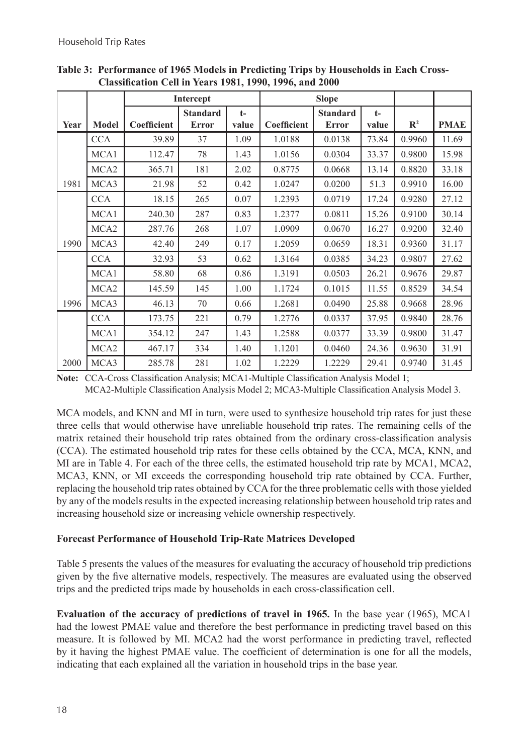|      |                  |             | Intercept                       |               |             | <b>Slope</b>                    |               |                |             |
|------|------------------|-------------|---------------------------------|---------------|-------------|---------------------------------|---------------|----------------|-------------|
| Year | <b>Model</b>     | Coefficient | <b>Standard</b><br><b>Error</b> | $t-$<br>value | Coefficient | <b>Standard</b><br><b>Error</b> | $t-$<br>value | $\mathbb{R}^2$ | <b>PMAE</b> |
|      | <b>CCA</b>       | 39.89       | 37                              | 1.09          | 1.0188      | 0.0138                          | 73.84         | 0.9960         | 11.69       |
|      | MCA1             | 112.47      | 78                              | 1.43          | 1.0156      | 0.0304                          | 33.37         | 0.9800         | 15.98       |
|      | MCA2             | 365.71      | 181                             | 2.02          | 0.8775      | 0.0668                          | 13.14         | 0.8820         | 33.18       |
| 1981 | MCA3             | 21.98       | 52                              | 0.42          | 1.0247      | 0.0200                          | 51.3          | 0.9910         | 16.00       |
|      | <b>CCA</b>       | 18.15       | 265                             | 0.07          | 1.2393      | 0.0719                          | 17.24         | 0.9280         | 27.12       |
|      | MCA1             | 240.30      | 287                             | 0.83          | 1.2377      | 0.0811                          | 15.26         | 0.9100         | 30.14       |
|      | MCA <sub>2</sub> | 287.76      | 268                             | 1.07          | 1.0909      | 0.0670                          | 16.27         | 0.9200         | 32.40       |
| 1990 | MCA3             | 42.40       | 249                             | 0.17          | 1.2059      | 0.0659                          | 18.31         | 0.9360         | 31.17       |
|      | <b>CCA</b>       | 32.93       | 53                              | 0.62          | 1.3164      | 0.0385                          | 34.23         | 0.9807         | 27.62       |
|      | MCA1             | 58.80       | 68                              | 0.86          | 1.3191      | 0.0503                          | 26.21         | 0.9676         | 29.87       |
|      | MCA <sub>2</sub> | 145.59      | 145                             | 1.00          | 1.1724      | 0.1015                          | 11.55         | 0.8529         | 34.54       |
| 1996 | MCA3             | 46.13       | 70                              | 0.66          | 1.2681      | 0.0490                          | 25.88         | 0.9668         | 28.96       |
|      | <b>CCA</b>       | 173.75      | 221                             | 0.79          | 1.2776      | 0.0337                          | 37.95         | 0.9840         | 28.76       |
|      | MCA1             | 354.12      | 247                             | 1.43          | 1.2588      | 0.0377                          | 33.39         | 0.9800         | 31.47       |
|      | MCA <sub>2</sub> | 467.17      | 334                             | 1.40          | 1.1201      | 0.0460                          | 24.36         | 0.9630         | 31.91       |
| 2000 | MCA3             | 285.78      | 281                             | 1.02          | 1.2229      | 1.2229                          | 29.41         | 0.9740         | 31.45       |

**Table 3: Performance of 1965 Models in Predicting Trips by Households in Each Cross-Classification Cell in Years 1981, 1990, 1996, and 2000**

**Note:** CCA-Cross Classification Analysis; MCA1-Multiple Classification Analysis Model 1;

MCA2-Multiple Classification Analysis Model 2; MCA3-Multiple Classification Analysis Model 3.

MCA models, and KNN and MI in turn, were used to synthesize household trip rates for just these three cells that would otherwise have unreliable household trip rates. The remaining cells of the matrix retained their household trip rates obtained from the ordinary cross-classification analysis (CCA). The estimated household trip rates for these cells obtained by the CCA, MCA, KNN, and MI are in Table 4. For each of the three cells, the estimated household trip rate by MCA1, MCA2, MCA3, KNN, or MI exceeds the corresponding household trip rate obtained by CCA. Further, replacing the household trip rates obtained by CCA for the three problematic cells with those yielded by any of the models results in the expected increasing relationship between household trip rates and increasing household size or increasing vehicle ownership respectively.

## **Forecast Performance of Household Trip-Rate Matrices Developed**

Table 5 presents the values of the measures for evaluating the accuracy of household trip predictions given by the five alternative models, respectively. The measures are evaluated using the observed trips and the predicted trips made by households in each cross-classification cell.

**Evaluation of the accuracy of predictions of travel in 1965.** In the base year (1965), MCA1 had the lowest PMAE value and therefore the best performance in predicting travel based on this measure. It is followed by MI. MCA2 had the worst performance in predicting travel, reflected by it having the highest PMAE value. The coefficient of determination is one for all the models, indicating that each explained all the variation in household trips in the base year.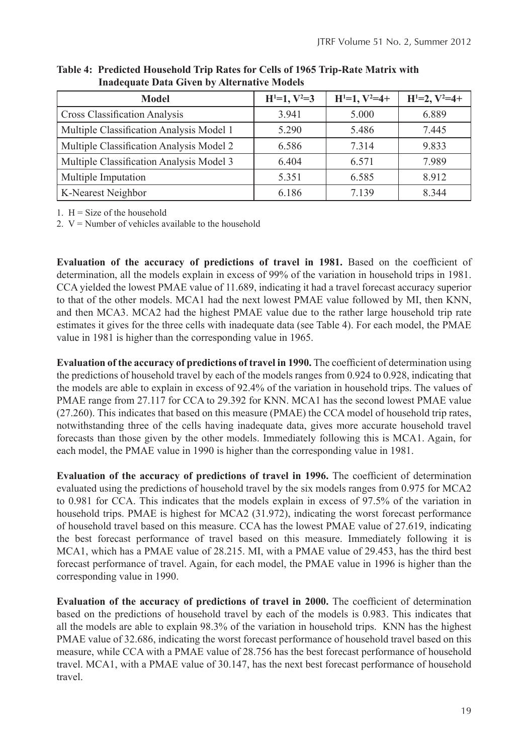| Model                                    | $H^{1}=1, V^{2}=3$ | $H^{1}=1, V^{2}=4+$ | $H^{1}=2, V^{2}=4+$ |
|------------------------------------------|--------------------|---------------------|---------------------|
| <b>Cross Classification Analysis</b>     | 3.941              | 5.000               | 6.889               |
| Multiple Classification Analysis Model 1 | 5.290              | 5.486               | 7.445               |
| Multiple Classification Analysis Model 2 | 6.586              | 7314                | 9.833               |
| Multiple Classification Analysis Model 3 | 6.404              | 6.571               | 7.989               |
| Multiple Imputation                      | 5.351              | 6.585               | 8.912               |
| K-Nearest Neighbor                       | 6.186              | 7.139               | 8.344               |

**Table 4: Predicted Household Trip Rates for Cells of 1965 Trip-Rate Matrix with Inadequate Data Given by Alternative Models**

1.  $H = Size of the household$ 

2.  $V =$  Number of vehicles available to the household

**Evaluation of the accuracy of predictions of travel in 1981.** Based on the coefficient of determination, all the models explain in excess of 99% of the variation in household trips in 1981. CCA yielded the lowest PMAE value of 11.689, indicating it had a travel forecast accuracy superior to that of the other models. MCA1 had the next lowest PMAE value followed by MI, then KNN, and then MCA3. MCA2 had the highest PMAE value due to the rather large household trip rate estimates it gives for the three cells with inadequate data (see Table 4). For each model, the PMAE value in 1981 is higher than the corresponding value in 1965.

**Evaluation of the accuracy of predictions of travel in 1990.** The coefficient of determination using the predictions of household travel by each of the models ranges from 0.924 to 0.928, indicating that the models are able to explain in excess of 92.4% of the variation in household trips. The values of PMAE range from 27.117 for CCA to 29.392 for KNN. MCA1 has the second lowest PMAE value (27.260). This indicates that based on this measure (PMAE) the CCA model of household trip rates, notwithstanding three of the cells having inadequate data, gives more accurate household travel forecasts than those given by the other models. Immediately following this is MCA1. Again, for each model, the PMAE value in 1990 is higher than the corresponding value in 1981.

**Evaluation of the accuracy of predictions of travel in 1996.** The coefficient of determination evaluated using the predictions of household travel by the six models ranges from 0.975 for MCA2 to 0.981 for CCA. This indicates that the models explain in excess of 97.5% of the variation in household trips. PMAE is highest for MCA2 (31.972), indicating the worst forecast performance of household travel based on this measure. CCA has the lowest PMAE value of 27.619, indicating the best forecast performance of travel based on this measure. Immediately following it is MCA1, which has a PMAE value of 28.215. MI, with a PMAE value of 29.453, has the third best forecast performance of travel. Again, for each model, the PMAE value in 1996 is higher than the corresponding value in 1990.

**Evaluation of the accuracy of predictions of travel in 2000.** The coefficient of determination based on the predictions of household travel by each of the models is 0.983. This indicates that all the models are able to explain 98.3% of the variation in household trips. KNN has the highest PMAE value of 32.686, indicating the worst forecast performance of household travel based on this measure, while CCA with a PMAE value of 28.756 has the best forecast performance of household travel. MCA1, with a PMAE value of 30.147, has the next best forecast performance of household travel.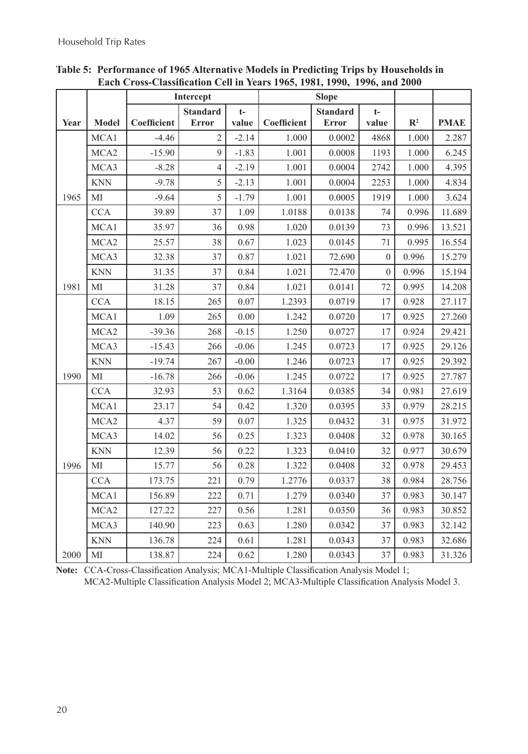|      |                  | Intercept   |                 |         |             |                                 |                  |                |             |
|------|------------------|-------------|-----------------|---------|-------------|---------------------------------|------------------|----------------|-------------|
|      |                  |             | <b>Standard</b> | $t-$    |             | <b>Slope</b><br><b>Standard</b> | $t-$             |                |             |
| Year | <b>Model</b>     | Coefficient | <b>Error</b>    | value   | Coefficient | <b>Error</b>                    | value            | $\mathbb{R}^2$ | <b>PMAE</b> |
|      | MCA1             | $-4.46$     | $\overline{2}$  | $-2.14$ | 1.000       | 0.0002                          | 4868             | 1.000          | 2.287       |
|      | MCA <sub>2</sub> | $-15.90$    | 9               | $-1.83$ | 1.001       | 0.0008                          | 1193             | 1.000          | 6.245       |
|      | MCA3             | $-8.28$     | $\overline{4}$  | $-2.19$ | 1.001       | 0.0004                          | 2742             | 1.000          | 4.395       |
|      | <b>KNN</b>       | $-9.78$     | 5               | $-2.13$ | 1.001       | 0.0004                          | 2253             | 1.000          | 4.834       |
| 1965 | MI               | $-9.64$     | 5               | $-1.79$ | 1.001       | 0.0005                          | 1919             | 1.000          | 3.624       |
|      | <b>CCA</b>       | 39.89       | 37              | 1.09    | 1.0188      | 0.0138                          | 74               | 0.996          | 11.689      |
|      | MCA1             | 35.97       | 36              | 0.98    | 1.020       | 0.0139                          | 73               | 0.996          | 13.521      |
|      | MCA <sub>2</sub> | 25.57       | 38              | 0.67    | 1.023       | 0.0145                          | 71               | 0.995          | 16.554      |
|      | MCA3             | 32.38       | 37              | 0.87    | 1.021       | 72.690                          | $\boldsymbol{0}$ | 0.996          | 15.279      |
|      | <b>KNN</b>       | 31.35       | 37              | 0.84    | 1.021       | 72.470                          | $\theta$         | 0.996          | 15.194      |
| 1981 | MI               | 31.28       | 37              | 0.84    | 1.021       | 0.0141                          | 72               | 0.995          | 14.208      |
|      | <b>CCA</b>       | 18.15       | 265             | 0.07    | 1.2393      | 0.0719                          | 17               | 0.928          | 27.117      |
|      | MCA1             | 1.09        | 265             | 0.00    | 1.242       | 0.0720                          | 17               | 0.925          | 27.260      |
|      | MCA <sub>2</sub> | $-39.36$    | 268             | $-0.15$ | 1.250       | 0.0727                          | 17               | 0.924          | 29.421      |
|      | MCA3             | $-15.43$    | 266             | $-0.06$ | 1.245       | 0.0723                          | 17               | 0.925          | 29.126      |
|      | <b>KNN</b>       | $-19.74$    | 267             | $-0.00$ | 1.246       | 0.0723                          | 17               | 0.925          | 29.392      |
| 1990 | MI               | $-16.78$    | 266             | $-0.06$ | 1.245       | 0.0722                          | 17               | 0.925          | 27.787      |
|      | <b>CCA</b>       | 32.93       | 53              | 0.62    | 1.3164      | 0.0385                          | 34               | 0.981          | 27.619      |
|      | MCA1             | 23.17       | 54              | 0.42    | 1.320       | 0.0395                          | 33               | 0.979          | 28.215      |
|      | MCA <sub>2</sub> | 4.37        | 59              | 0.07    | 1.325       | 0.0432                          | 31               | 0.975          | 31.972      |
|      | MCA3             | 14.02       | 56              | 0.25    | 1.323       | 0.0408                          | 32               | 0.978          | 30.165      |
|      | <b>KNN</b>       | 12.39       | 56              | 0.22    | 1.323       | 0.0410                          | 32               | 0.977          | 30.679      |
| 1996 | MI               | 15.77       | 56              | 0.28    | 1.322       | 0.0408                          | 32               | 0.978          | 29.453      |
|      | <b>CCA</b>       | 173.75      | 221             | 0.79    | 1.2776      | 0.0337                          | 38               | 0.984          | 28.756      |
|      | MCA1             | 156.89      | 222             | 0.71    | 1.279       | 0.0340                          | 37               | 0.983          | 30.147      |
|      | MCA <sub>2</sub> | 127.22      | 227             | 0.56    | 1.281       | 0.0350                          | 36               | 0.983          | 30.852      |
|      | MCA3             | 140.90      | 223             | 0.63    | 1.280       | 0.0342                          | 37               | 0.983          | 32.142      |
|      | <b>KNN</b>       | 136.78      | 224             | 0.61    | 1.281       | 0.0343                          | 37               | 0.983          | 32.686      |
| 2000 | MI               | 138.87      | 224             | 0.62    | 1.280       | 0.0343                          | 37               | 0.983          | 31.326      |

## **Table 5: Performance of 1965 Alternative Models in Predicting Trips by Households in Each Cross-Classification Cell in Years 1965, 1981, 1990, 1996, and 2000**

**Note:** CCA-Cross-Classification Analysis; MCA1-Multiple Classification Analysis Model 1; MCA2-Multiple Classification Analysis Model 2; MCA3-Multiple Classification Analysis Model 3.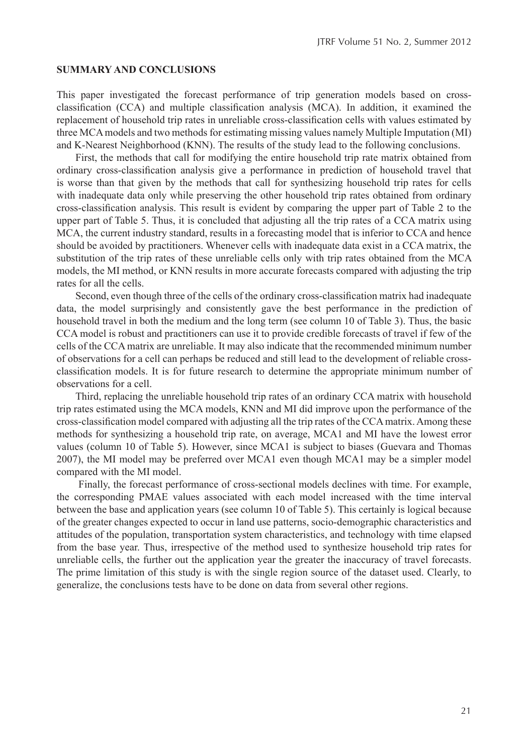#### **SUMMARY AND CONCLUSIONS**

This paper investigated the forecast performance of trip generation models based on crossclassification (CCA) and multiple classification analysis (MCA). In addition, it examined the replacement of household trip rates in unreliable cross-classification cells with values estimated by three MCA models and two methods for estimating missing values namely Multiple Imputation (MI) and K-Nearest Neighborhood (KNN). The results of the study lead to the following conclusions.

First, the methods that call for modifying the entire household trip rate matrix obtained from ordinary cross-classification analysis give a performance in prediction of household travel that is worse than that given by the methods that call for synthesizing household trip rates for cells with inadequate data only while preserving the other household trip rates obtained from ordinary cross-classification analysis. This result is evident by comparing the upper part of Table 2 to the upper part of Table 5. Thus, it is concluded that adjusting all the trip rates of a CCA matrix using MCA, the current industry standard, results in a forecasting model that is inferior to CCA and hence should be avoided by practitioners. Whenever cells with inadequate data exist in a CCA matrix, the substitution of the trip rates of these unreliable cells only with trip rates obtained from the MCA models, the MI method, or KNN results in more accurate forecasts compared with adjusting the trip rates for all the cells.

Second, even though three of the cells of the ordinary cross-classification matrix had inadequate data, the model surprisingly and consistently gave the best performance in the prediction of household travel in both the medium and the long term (see column 10 of Table 3). Thus, the basic CCA model is robust and practitioners can use it to provide credible forecasts of travel if few of the cells of the CCA matrix are unreliable. It may also indicate that the recommended minimum number of observations for a cell can perhaps be reduced and still lead to the development of reliable crossclassification models. It is for future research to determine the appropriate minimum number of observations for a cell.

Third, replacing the unreliable household trip rates of an ordinary CCA matrix with household trip rates estimated using the MCA models, KNN and MI did improve upon the performance of the cross-classification model compared with adjusting all the trip rates of the CCA matrix. Among these methods for synthesizing a household trip rate, on average, MCA1 and MI have the lowest error values (column 10 of Table 5). However, since MCA1 is subject to biases (Guevara and Thomas 2007), the MI model may be preferred over MCA1 even though MCA1 may be a simpler model compared with the MI model.

 Finally, the forecast performance of cross-sectional models declines with time. For example, the corresponding PMAE values associated with each model increased with the time interval between the base and application years (see column 10 of Table 5). This certainly is logical because of the greater changes expected to occur in land use patterns, socio-demographic characteristics and attitudes of the population, transportation system characteristics, and technology with time elapsed from the base year. Thus, irrespective of the method used to synthesize household trip rates for unreliable cells, the further out the application year the greater the inaccuracy of travel forecasts. The prime limitation of this study is with the single region source of the dataset used. Clearly, to generalize, the conclusions tests have to be done on data from several other regions.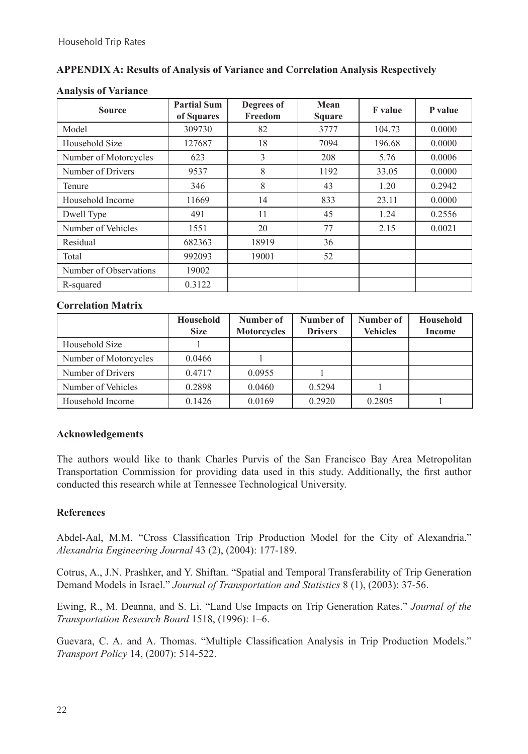## **APPENDIX A: Results of Analysis of Variance and Correlation Analysis Respectively**

| <b>Source</b>          | <b>Partial Sum</b><br>of Squares | Degrees of<br>Freedom | Mean<br><b>Square</b> | <b>F</b> value | P value |
|------------------------|----------------------------------|-----------------------|-----------------------|----------------|---------|
| Model                  | 309730                           | 82                    | 3777                  | 104.73         | 0.0000  |
| Household Size         | 127687                           | 18                    | 7094                  | 196.68         | 0.0000  |
| Number of Motorcycles  | 623                              | 3                     | 208                   | 5.76           | 0.0006  |
| Number of Drivers      | 9537                             | 8                     | 1192                  | 33.05          | 0.0000  |
| Tenure                 | 346                              | 8                     | 43                    | 1.20           | 0.2942  |
| Household Income       | 11669                            | 14                    | 833                   | 23.11          | 0.0000  |
| Dwell Type             | 491                              | 11                    | 45                    | 1.24           | 0.2556  |
| Number of Vehicles     | 1551                             | 20                    | 77                    | 2.15           | 0.0021  |
| Residual               | 682363                           | 18919                 | 36                    |                |         |
| Total                  | 992093                           | 19001                 | 52                    |                |         |
| Number of Observations | 19002                            |                       |                       |                |         |
| R-squared              | 0.3122                           |                       |                       |                |         |

## **Analysis of Variance**

## **Correlation Matrix**

|                       | Household<br><b>Size</b> | Number of<br><b>Motorcycles</b> | Number of<br><b>Drivers</b> | Number of<br><b>Vehicles</b> | Household<br>Income |
|-----------------------|--------------------------|---------------------------------|-----------------------------|------------------------------|---------------------|
| Household Size        |                          |                                 |                             |                              |                     |
| Number of Motorcycles | 0.0466                   |                                 |                             |                              |                     |
| Number of Drivers     | 0.4717                   | 0.0955                          |                             |                              |                     |
| Number of Vehicles    | 0.2898                   | 0.0460                          | 0.5294                      |                              |                     |
| Household Income      | 0.1426                   | 0.0169                          | 0.2920                      | 0.2805                       |                     |

## **Acknowledgements**

The authors would like to thank Charles Purvis of the San Francisco Bay Area Metropolitan Transportation Commission for providing data used in this study. Additionally, the first author conducted this research while at Tennessee Technological University.

## **References**

Abdel-Aal, M.M. "Cross Classification Trip Production Model for the City of Alexandria." *Alexandria Engineering Journal* 43 (2), (2004): 177-189.

Cotrus, A., J.N. Prashker, and Y. Shiftan. "Spatial and Temporal Transferability of Trip Generation Demand Models in Israel." *Journal of Transportation and Statistics* 8 (1), (2003): 37-56.

Ewing, R., M. Deanna, and S. Li. "Land Use Impacts on Trip Generation Rates." *Journal of the Transportation Research Board* 1518, (1996): 1–6.

Guevara, C. A. and A. Thomas. "Multiple Classification Analysis in Trip Production Models." *Transport Policy* 14, (2007): 514-522.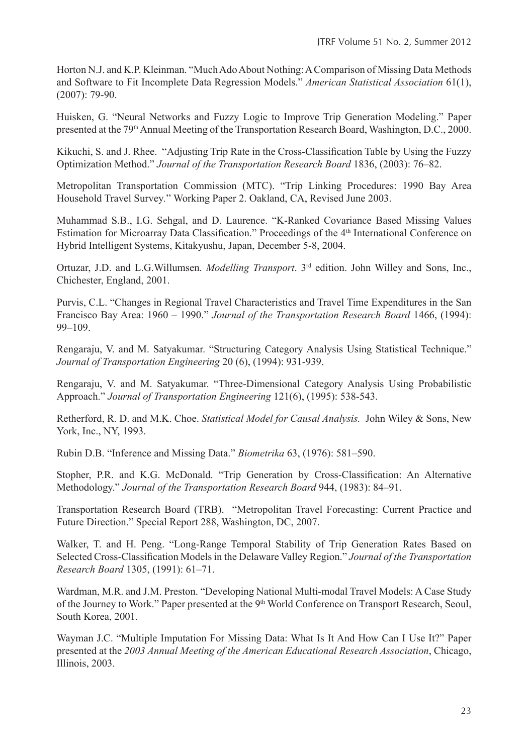Horton N.J. and K.P. Kleinman. "Much Ado About Nothing: A Comparison of Missing Data Methods and Software to Fit Incomplete Data Regression Models." *American Statistical Association* 61(1), (2007): 79-90.

Huisken, G. "Neural Networks and Fuzzy Logic to Improve Trip Generation Modeling." Paper presented at the 79<sup>th</sup> Annual Meeting of the Transportation Research Board, Washington, D.C., 2000.

Kikuchi, S. and J. Rhee. "Adjusting Trip Rate in the Cross-Classification Table by Using the Fuzzy Optimization Method." *Journal of the Transportation Research Board* 1836, (2003): 76–82.

Metropolitan Transportation Commission (MTC). "Trip Linking Procedures: 1990 Bay Area Household Travel Survey*.*" Working Paper 2. Oakland, CA, Revised June 2003.

Muhammad S.B., I.G. Sehgal, and D. Laurence. "K-Ranked Covariance Based Missing Values Estimation for Microarray Data Classification." Proceedings of the 4<sup>th</sup> International Conference on Hybrid Intelligent Systems, Kitakyushu, Japan, December 5-8, 2004.

Ortuzar, J.D. and L.G.Willumsen. *Modelling Transport*. 3rd edition. John Willey and Sons, Inc., Chichester, England, 2001.

Purvis, C.L. "Changes in Regional Travel Characteristics and Travel Time Expenditures in the San Francisco Bay Area: 1960 – 1990." *Journal of the Transportation Research Board* 1466, (1994): 99–109.

Rengaraju, V. and M. Satyakumar. "Structuring Category Analysis Using Statistical Technique." *Journal of Transportation Engineering* 20 (6), (1994): 931-939.

Rengaraju, V. and M. Satyakumar. "Three-Dimensional Category Analysis Using Probabilistic Approach." *Journal of Transportation Engineering* 121(6), (1995): 538-543.

Retherford, R. D. and M.K. Choe. *Statistical Model for Causal Analysis.* John Wiley & Sons, New York, Inc., NY, 1993.

Rubin D.B. "Inference and Missing Data." *Biometrika* 63, (1976): 581–590.

Stopher, P.R. and K.G. McDonald. "Trip Generation by Cross-Classification: An Alternative Methodology." *Journal of the Transportation Research Board* 944, (1983): 84–91.

Transportation Research Board (TRB). "Metropolitan Travel Forecasting: Current Practice and Future Direction." Special Report 288, Washington, DC, 2007.

Walker, T. and H. Peng. "Long-Range Temporal Stability of Trip Generation Rates Based on Selected Cross-Classification Models in the Delaware Valley Region." *Journal of the Transportation Research Board* 1305, (1991): 61–71.

Wardman, M.R. and J.M. Preston. "Developing National Multi-modal Travel Models: A Case Study of the Journey to Work." Paper presented at the 9<sup>th</sup> World Conference on Transport Research, Seoul, South Korea, 2001.

Wayman J.C. "Multiple Imputation For Missing Data: What Is It And How Can I Use It?" Paper presented at the *2003 Annual Meeting of the American Educational Research Association*, Chicago, Illinois, 2003.